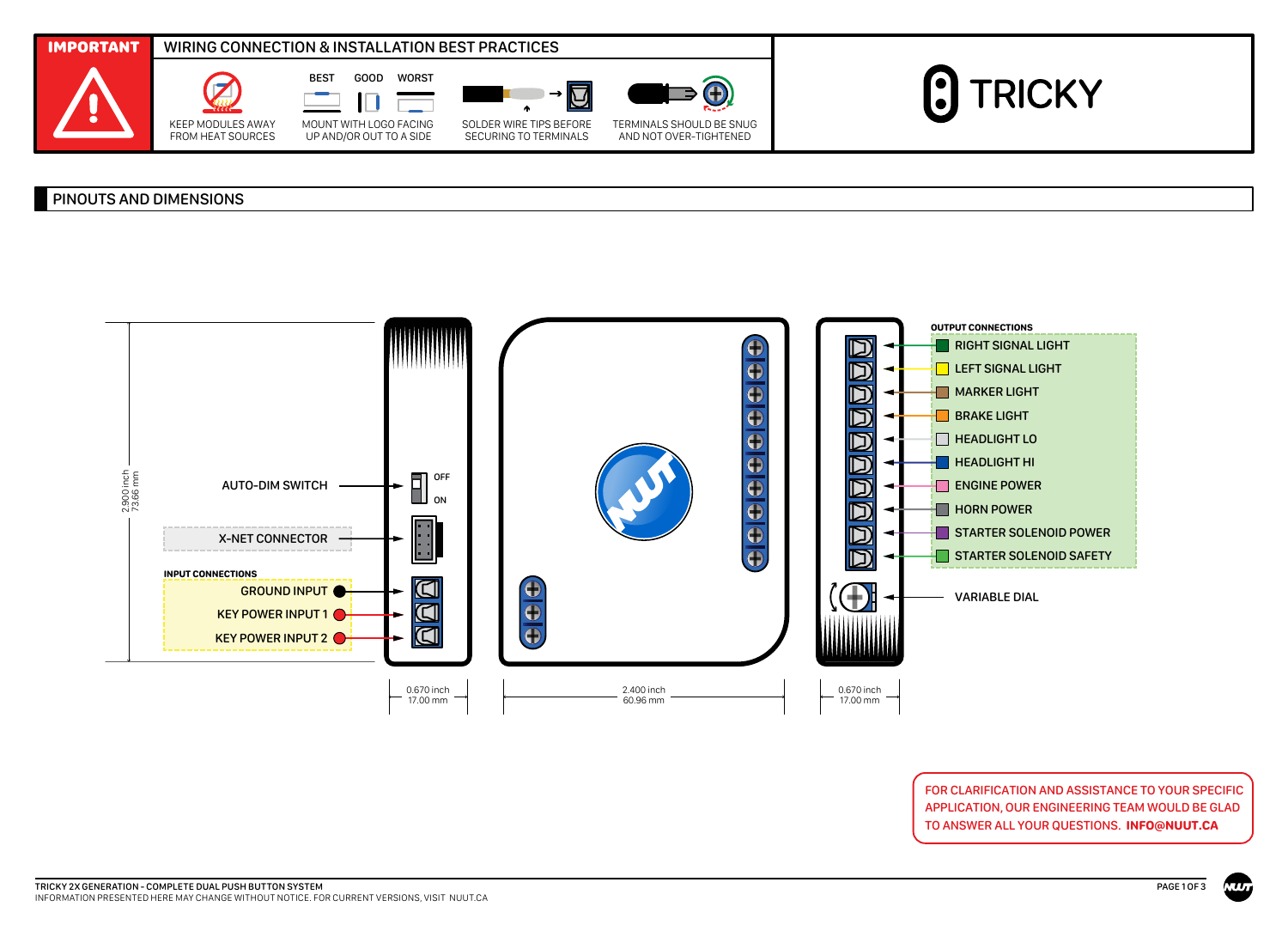

## PINOUTS AND DIMENSIONS



FOR CLARIFICATION AND ASSISTANCE TO YOUR SPECIFIC APPLICATION, OUR ENGINEERING TEAM WOULD BE GLAD TO ANSWER ALL YOUR QUESTIONS. **INFO@NUUT.CA**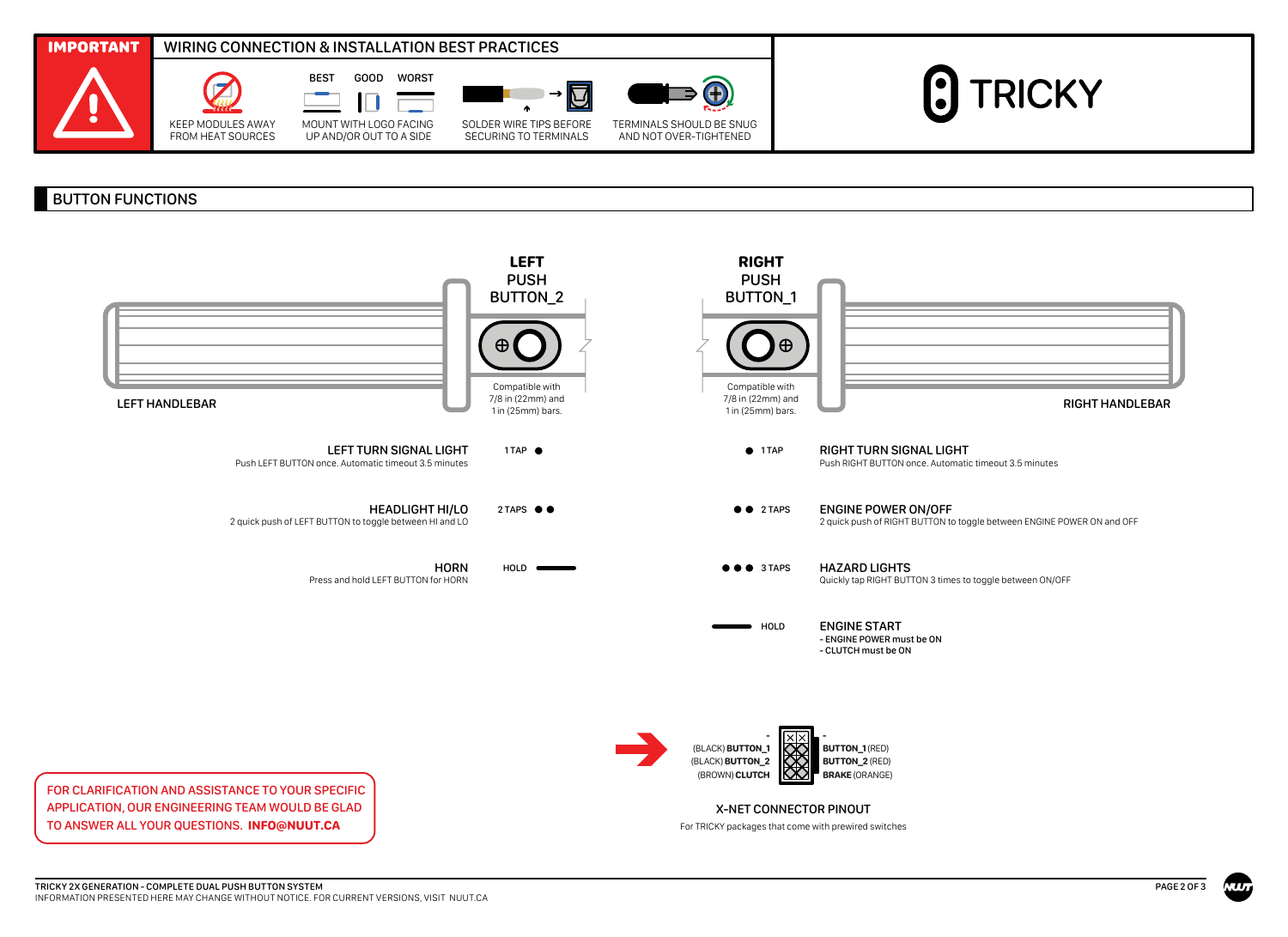

## BUTTON FUNCTIONS



For TRICKY packages that come with prewired switches

APPLICATION, OUR ENGINEERING TEAM WOULD BE GLAD TO ANSWER ALL YOUR QUESTIONS. **INFO@NUUT.CA**